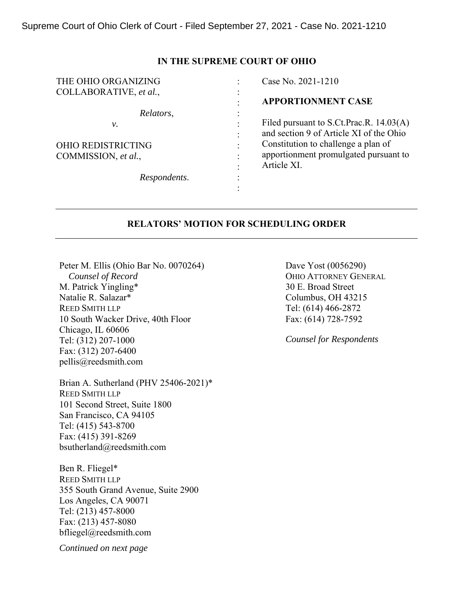## **IN THE SUPREME COURT OF OHIO**

| THE OHIO ORGANIZING       |                      | Case No. 2021-1210                      |
|---------------------------|----------------------|-----------------------------------------|
| COLLABORATIVE, et al.,    |                      |                                         |
|                           |                      | <b>APPORTIONMENT CASE</b>               |
| Relators,                 |                      |                                         |
| ν.                        |                      | Filed pursuant to S.Ct.Prac.R. 14.03(A) |
|                           |                      | and section 9 of Article XI of the Ohio |
| <b>OHIO REDISTRICTING</b> | $\bullet$            | Constitution to challenge a plan of     |
| COMMISSION, et al.,       |                      | apportionment promulgated pursuant to   |
|                           |                      | Article XI.                             |
| Respondents.              | $\ddot{\phantom{0}}$ |                                         |
|                           |                      |                                         |

## **RELATORS' MOTION FOR SCHEDULING ORDER**

Peter M. Ellis (Ohio Bar No. 0070264)  *Counsel of Record*  M. Patrick Yingling\* Natalie R. Salazar\* REED SMITH LLP 10 South Wacker Drive, 40th Floor Chicago, IL 60606 Tel: (312) 207-1000 Fax: (312) 207-6400 pellis@reedsmith.com

Brian A. Sutherland (PHV 25406-2021)\* REED SMITH LLP 101 Second Street, Suite 1800 San Francisco, CA 94105 Tel: (415) 543-8700 Fax: (415) 391-8269 bsutherland@reedsmith.com

Ben R. Fliegel\* REED SMITH LLP 355 South Grand Avenue, Suite 2900 Los Angeles, CA 90071 Tel: (213) 457-8000 Fax: (213) 457-8080 bfliegel@reedsmith.com

*Continued on next page* 

Dave Yost (0056290) OHIO ATTORNEY GENERAL 30 E. Broad Street Columbus, OH 43215 Tel: (614) 466-2872 Fax: (614) 728-7592

*Counsel for Respondents*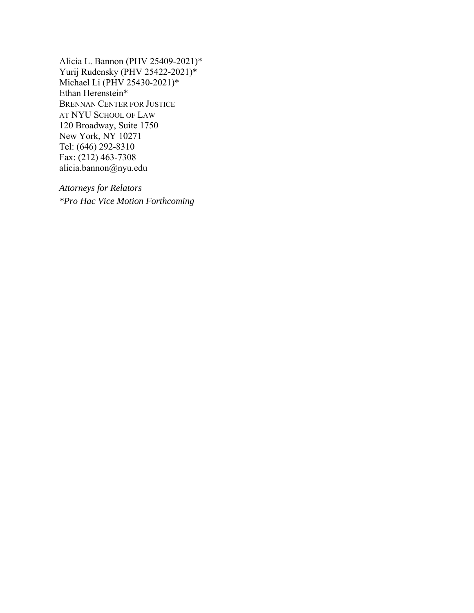Alicia L. Bannon (PHV 25409-2021)\* Yurij Rudensky (PHV 25422-2021)\* Michael Li (PHV 25430-2021)\* Ethan Herenstein\* BRENNAN CENTER FOR JUSTICE AT NYU SCHOOL OF LAW 120 Broadway, Suite 1750 New York, NY 10271 Tel: (646) 292-8310 Fax: (212) 463-7308 alicia.bannon@nyu.edu

*Attorneys for Relators \*Pro Hac Vice Motion Forthcoming*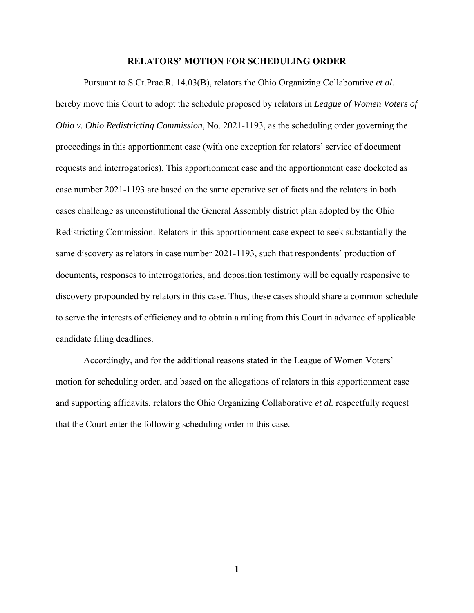## **RELATORS' MOTION FOR SCHEDULING ORDER**

Pursuant to S.Ct.Prac.R. 14.03(B), relators the Ohio Organizing Collaborative *et al.* hereby move this Court to adopt the schedule proposed by relators in *League of Women Voters of Ohio v. Ohio Redistricting Commission*, No. 2021-1193, as the scheduling order governing the proceedings in this apportionment case (with one exception for relators' service of document requests and interrogatories). This apportionment case and the apportionment case docketed as case number 2021-1193 are based on the same operative set of facts and the relators in both cases challenge as unconstitutional the General Assembly district plan adopted by the Ohio Redistricting Commission. Relators in this apportionment case expect to seek substantially the same discovery as relators in case number 2021-1193, such that respondents' production of documents, responses to interrogatories, and deposition testimony will be equally responsive to discovery propounded by relators in this case. Thus, these cases should share a common schedule to serve the interests of efficiency and to obtain a ruling from this Court in advance of applicable candidate filing deadlines.

Accordingly, and for the additional reasons stated in the League of Women Voters' motion for scheduling order, and based on the allegations of relators in this apportionment case and supporting affidavits, relators the Ohio Organizing Collaborative *et al.* respectfully request that the Court enter the following scheduling order in this case.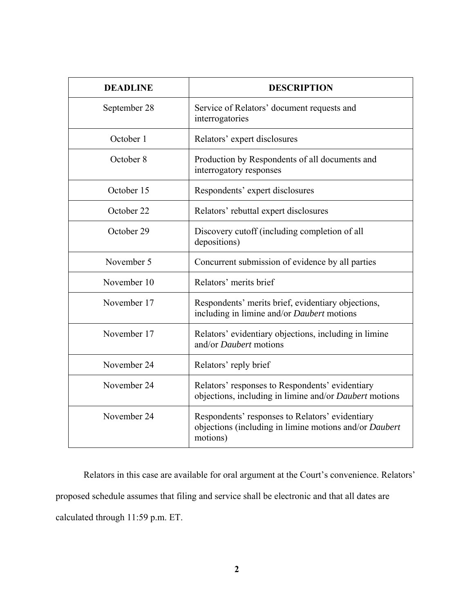| <b>DEADLINE</b> | <b>DESCRIPTION</b>                                                                                                    |  |
|-----------------|-----------------------------------------------------------------------------------------------------------------------|--|
| September 28    | Service of Relators' document requests and<br>interrogatories                                                         |  |
| October 1       | Relators' expert disclosures                                                                                          |  |
| October 8       | Production by Respondents of all documents and<br>interrogatory responses                                             |  |
| October 15      | Respondents' expert disclosures                                                                                       |  |
| October 22      | Relators' rebuttal expert disclosures                                                                                 |  |
| October 29      | Discovery cutoff (including completion of all<br>depositions)                                                         |  |
| November 5      | Concurrent submission of evidence by all parties                                                                      |  |
| November 10     | Relators' merits brief                                                                                                |  |
| November 17     | Respondents' merits brief, evidentiary objections,<br>including in limine and/or Daubert motions                      |  |
| November 17     | Relators' evidentiary objections, including in limine<br>and/or <i>Daubert</i> motions                                |  |
| November 24     | Relators' reply brief                                                                                                 |  |
| November 24     | Relators' responses to Respondents' evidentiary<br>objections, including in limine and/or Daubert motions             |  |
| November 24     | Respondents' responses to Relators' evidentiary<br>objections (including in limine motions and/or Daubert<br>motions) |  |

Relators in this case are available for oral argument at the Court's convenience. Relators' proposed schedule assumes that filing and service shall be electronic and that all dates are calculated through 11:59 p.m. ET.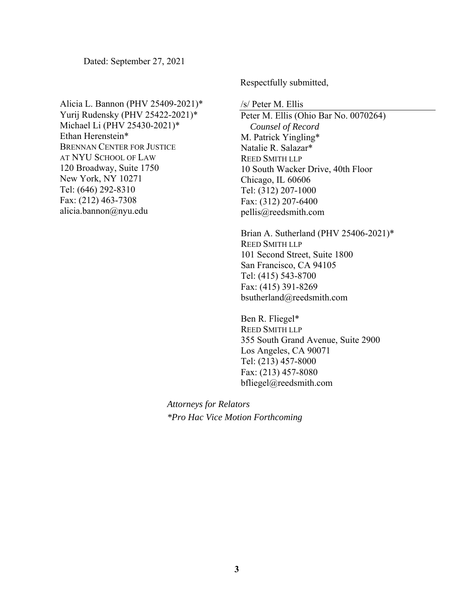Dated: September 27, 2021

Alicia L. Bannon (PHV 25409-2021)\* Yurij Rudensky (PHV 25422-2021)\* Michael Li (PHV 25430-2021)\* Ethan Herenstein\* BRENNAN CENTER FOR JUSTICE AT NYU SCHOOL OF LAW 120 Broadway, Suite 1750 New York, NY 10271 Tel: (646) 292-8310 Fax: (212) 463-7308 alicia.bannon@nyu.edu

Respectfully submitted,

/s/ Peter M. Ellis

Peter M. Ellis (Ohio Bar No. 0070264)  *Counsel of Record*  M. Patrick Yingling\* Natalie R. Salazar\* REED SMITH LLP 10 South Wacker Drive, 40th Floor Chicago, IL 60606 Tel: (312) 207-1000 Fax: (312) 207-6400 pellis@reedsmith.com

Brian A. Sutherland (PHV 25406-2021)\* REED SMITH LLP 101 Second Street, Suite 1800 San Francisco, CA 94105 Tel: (415) 543-8700 Fax: (415) 391-8269 bsutherland@reedsmith.com

 Ben R. Fliegel\* REED SMITH LLP 355 South Grand Avenue, Suite 2900 Los Angeles, CA 90071 Tel: (213) 457-8000 Fax: (213) 457-8080 bfliegel@reedsmith.com

*Attorneys for Relators \*Pro Hac Vice Motion Forthcoming*